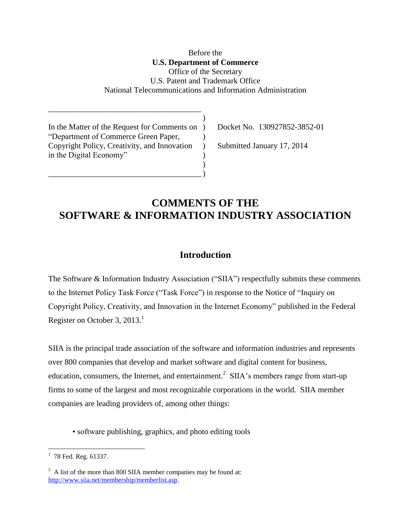Before the **U.S. Department of Commerce** Office of the Secretary U.S. Patent and Trademark Office National Telecommunications and Information Administration

)

 $\lambda$ 

In the Matter of the Request for Comments on ) Docket No. 130927852-3852-01 "Department of Commerce Green Paper, ) Copyright Policy, Creativity, and Innovation ) Submitted January 17, 2014 in the Digital Economy"

 $\qquad \qquad )$ 

\_\_\_\_\_\_\_\_\_\_\_\_\_\_\_\_\_\_\_\_\_\_\_\_\_\_\_\_\_\_\_\_\_\_\_\_\_\_

## **COMMENTS OF THE SOFTWARE & INFORMATION INDUSTRY ASSOCIATION**

### **Introduction**

The Software & Information Industry Association ("SIIA") respectfully submits these comments to the Internet Policy Task Force ("Task Force") in response to the Notice of "Inquiry on Copyright Policy, Creativity, and Innovation in the Internet Economy" published in the Federal Register on October 3, 2013.<sup>1</sup>

SIIA is the principal trade association of the software and information industries and represents over 800 companies that develop and market software and digital content for business, education, consumers, the Internet, and entertainment.<sup>2</sup> SIIA's members range from start-up firms to some of the largest and most recognizable corporations in the world. SIIA member companies are leading providers of, among other things:

• software publishing, graphics, and photo editing tools

 $1$  78 Fed. Reg. 61337.

 $2^2$  A list of the more than 800 SIIA member companies may be found at: [http://www.siia.net/membership/memberlist.asp.](http://www.siia.net/membership/memberlist.asp)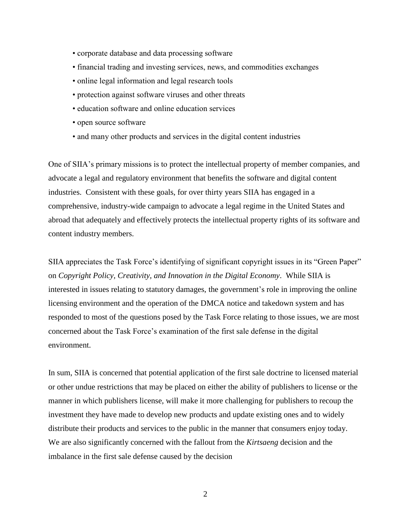- corporate database and data processing software
- financial trading and investing services, news, and commodities exchanges
- online legal information and legal research tools
- protection against software viruses and other threats
- education software and online education services
- open source software
- and many other products and services in the digital content industries

One of SIIA's primary missions is to protect the intellectual property of member companies, and advocate a legal and regulatory environment that benefits the software and digital content industries. Consistent with these goals, for over thirty years SIIA has engaged in a comprehensive, industry-wide campaign to advocate a legal regime in the United States and abroad that adequately and effectively protects the intellectual property rights of its software and content industry members.

SIIA appreciates the Task Force's identifying of significant copyright issues in its "Green Paper" on *Copyright Policy, Creativity, and Innovation in the Digital Economy*. While SIIA is interested in issues relating to statutory damages, the government's role in improving the online licensing environment and the operation of the DMCA notice and takedown system and has responded to most of the questions posed by the Task Force relating to those issues, we are most concerned about the Task Force's examination of the first sale defense in the digital environment.

In sum, SIIA is concerned that potential application of the first sale doctrine to licensed material or other undue restrictions that may be placed on either the ability of publishers to license or the manner in which publishers license, will make it more challenging for publishers to recoup the investment they have made to develop new products and update existing ones and to widely distribute their products and services to the public in the manner that consumers enjoy today. We are also significantly concerned with the fallout from the *Kirtsaeng* decision and the imbalance in the first sale defense caused by the decision

2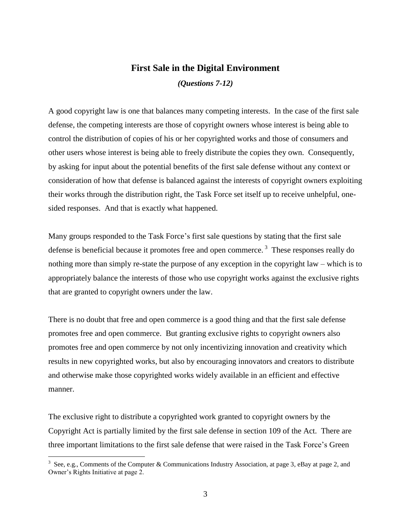# **First Sale in the Digital Environment**

*(Questions 7-12)*

A good copyright law is one that balances many competing interests. In the case of the first sale defense, the competing interests are those of copyright owners whose interest is being able to control the distribution of copies of his or her copyrighted works and those of consumers and other users whose interest is being able to freely distribute the copies they own. Consequently, by asking for input about the potential benefits of the first sale defense without any context or consideration of how that defense is balanced against the interests of copyright owners exploiting their works through the distribution right, the Task Force set itself up to receive unhelpful, onesided responses. And that is exactly what happened.

Many groups responded to the Task Force's first sale questions by stating that the first sale defense is beneficial because it promotes free and open commerce.<sup>3</sup> These responses really do nothing more than simply re-state the purpose of any exception in the copyright law – which is to appropriately balance the interests of those who use copyright works against the exclusive rights that are granted to copyright owners under the law.

There is no doubt that free and open commerce is a good thing and that the first sale defense promotes free and open commerce. But granting exclusive rights to copyright owners also promotes free and open commerce by not only incentivizing innovation and creativity which results in new copyrighted works, but also by encouraging innovators and creators to distribute and otherwise make those copyrighted works widely available in an efficient and effective manner.

The exclusive right to distribute a copyrighted work granted to copyright owners by the Copyright Act is partially limited by the first sale defense in section 109 of the Act. There are three important limitations to the first sale defense that were raised in the Task Force's Green

<sup>&</sup>lt;sup>3</sup> See, e.g., Comments of the Computer & Communications Industry Association, at page 3, eBay at page 2, and Owner's Rights Initiative at page 2.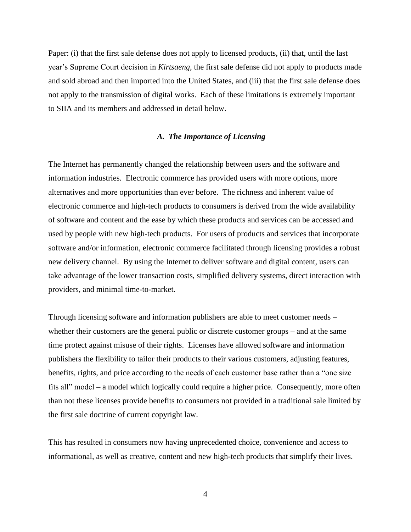Paper: (i) that the first sale defense does not apply to licensed products, (ii) that, until the last year's Supreme Court decision in *Kirtsaeng*, the first sale defense did not apply to products made and sold abroad and then imported into the United States, and (iii) that the first sale defense does not apply to the transmission of digital works. Each of these limitations is extremely important to SIIA and its members and addressed in detail below.

#### *A. The Importance of Licensing*

The Internet has permanently changed the relationship between users and the software and information industries. Electronic commerce has provided users with more options, more alternatives and more opportunities than ever before. The richness and inherent value of electronic commerce and high-tech products to consumers is derived from the wide availability of software and content and the ease by which these products and services can be accessed and used by people with new high-tech products. For users of products and services that incorporate software and/or information, electronic commerce facilitated through licensing provides a robust new delivery channel. By using the Internet to deliver software and digital content, users can take advantage of the lower transaction costs, simplified delivery systems, direct interaction with providers, and minimal time-to-market.

Through licensing software and information publishers are able to meet customer needs – whether their customers are the general public or discrete customer groups – and at the same time protect against misuse of their rights. Licenses have allowed software and information publishers the flexibility to tailor their products to their various customers, adjusting features, benefits, rights, and price according to the needs of each customer base rather than a "one size fits all" model – a model which logically could require a higher price. Consequently, more often than not these licenses provide benefits to consumers not provided in a traditional sale limited by the first sale doctrine of current copyright law.

This has resulted in consumers now having unprecedented choice, convenience and access to informational, as well as creative, content and new high-tech products that simplify their lives.

4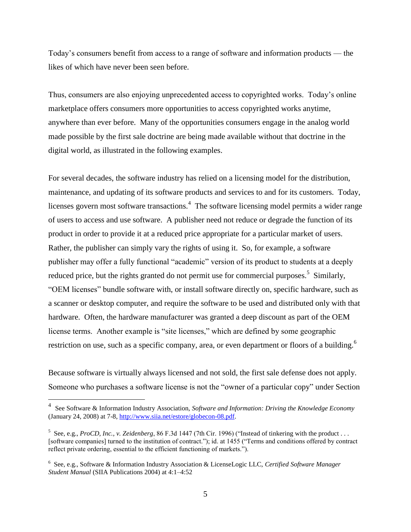Today's consumers benefit from access to a range of software and information products — the likes of which have never been seen before.

Thus, consumers are also enjoying unprecedented access to copyrighted works. Today's online marketplace offers consumers more opportunities to access copyrighted works anytime, anywhere than ever before. Many of the opportunities consumers engage in the analog world made possible by the first sale doctrine are being made available without that doctrine in the digital world, as illustrated in the following examples.

For several decades, the software industry has relied on a licensing model for the distribution, maintenance, and updating of its software products and services to and for its customers. Today, licenses govern most software transactions.<sup>4</sup> The software licensing model permits a wider range of users to access and use software. A publisher need not reduce or degrade the function of its product in order to provide it at a reduced price appropriate for a particular market of users. Rather, the publisher can simply vary the rights of using it. So, for example, a software publisher may offer a fully functional "academic" version of its product to students at a deeply reduced price, but the rights granted do not permit use for commercial purposes.<sup>5</sup> Similarly, "OEM licenses" bundle software with, or install software directly on, specific hardware, such as a scanner or desktop computer, and require the software to be used and distributed only with that hardware. Often, the hardware manufacturer was granted a deep discount as part of the OEM license terms. Another example is "site licenses," which are defined by some geographic restriction on use, such as a specific company, area, or even department or floors of a building.<sup>6</sup>

Because software is virtually always licensed and not sold, the first sale defense does not apply. Someone who purchases a software license is not the "owner of a particular copy" under Section

<sup>4</sup> See Software & Information Industry Association, *Software and Information: Driving the Knowledge Economy* (January 24, 2008) at 7-8, [http://www.siia.net/estore/globecon-08.pdf.](http://www.siia.net/estore/globecon-08.pdf)

<sup>&</sup>lt;sup>5</sup> See, e.g., *ProCD, Inc., v. Zeidenberg*, 86 F.3d 1447 (7th Cir. 1996) ("Instead of tinkering with the product ... [software companies] turned to the institution of contract."); id. at 1455 ("Terms and conditions offered by contract reflect private ordering, essential to the efficient functioning of markets.").

<sup>6</sup> See, e.g., Software & Information Industry Association & LicenseLogic LLC, *Certified Software Manager Student Manual* (SIIA Publications 2004) at 4:1–4:52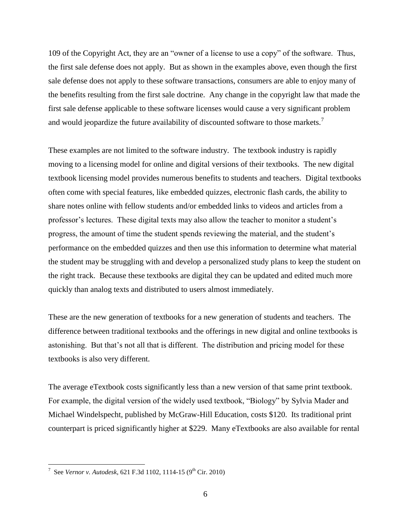109 of the Copyright Act, they are an "owner of a license to use a copy" of the software. Thus, the first sale defense does not apply. But as shown in the examples above, even though the first sale defense does not apply to these software transactions, consumers are able to enjoy many of the benefits resulting from the first sale doctrine. Any change in the copyright law that made the first sale defense applicable to these software licenses would cause a very significant problem and would jeopardize the future availability of discounted software to those markets.<sup>7</sup>

These examples are not limited to the software industry. The textbook industry is rapidly moving to a licensing model for online and digital versions of their textbooks. The new digital textbook licensing model provides numerous benefits to students and teachers. Digital textbooks often come with special features, like embedded quizzes, electronic flash cards, the ability to share notes online with fellow students and/or embedded links to videos and articles from a professor's lectures. These digital texts may also allow the teacher to monitor a student's progress, the amount of time the student spends reviewing the material, and the student's performance on the embedded quizzes and then use this information to determine what material the student may be struggling with and develop a personalized study plans to keep the student on the right track. Because these textbooks are digital they can be updated and edited much more quickly than analog texts and distributed to users almost immediately.

These are the new generation of textbooks for a new generation of students and teachers. The difference between traditional textbooks and the offerings in new digital and online textbooks is astonishing. But that's not all that is different. The distribution and pricing model for these textbooks is also very different.

The average eTextbook costs significantly less than a new version of that same print textbook. For example, the digital version of the widely used textbook, "Biology" by Sylvia Mader and Michael Windelspecht, published by McGraw-Hill Education, costs \$120. Its traditional print counterpart is priced significantly higher at \$229. Many eTextbooks are also available for rental

<sup>&</sup>lt;sup>7</sup> See *Vernor v. Autodesk*, 621 F.3d 1102, 1114-15 (9<sup>th</sup> Cir. 2010)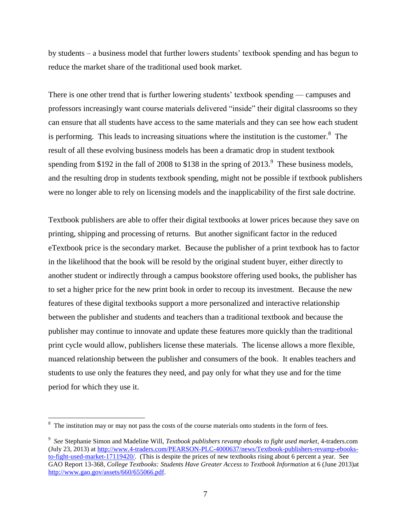by students – a business model that further lowers students' textbook spending and has begun to reduce the market share of the traditional used book market.

There is one other trend that is further lowering students' textbook spending — campuses and professors increasingly want course materials delivered "inside" their digital classrooms so they can ensure that all students have access to the same materials and they can see how each student is performing. This leads to increasing situations where the institution is the customer. $8$  The result of all these evolving business models has been a dramatic drop in student textbook spending from \$192 in the fall of 2008 to \$138 in the spring of  $2013.<sup>9</sup>$  These business models, and the resulting drop in students textbook spending, might not be possible if textbook publishers were no longer able to rely on licensing models and the inapplicability of the first sale doctrine.

Textbook publishers are able to offer their digital textbooks at lower prices because they save on printing, shipping and processing of returns. But another significant factor in the reduced eTextbook price is the secondary market. Because the publisher of a print textbook has to factor in the likelihood that the book will be resold by the original student buyer, either directly to another student or indirectly through a campus bookstore offering used books, the publisher has to set a higher price for the new print book in order to recoup its investment. Because the new features of these digital textbooks support a more personalized and interactive relationship between the publisher and students and teachers than a traditional textbook and because the publisher may continue to innovate and update these features more quickly than the traditional print cycle would allow, publishers license these materials. The license allows a more flexible, nuanced relationship between the publisher and consumers of the book. It enables teachers and students to use only the features they need, and pay only for what they use and for the time period for which they use it.

 $8\text{ The institution may or may not pass the costs of the course materials onto students in the form of fees.}$ 

<sup>9</sup> *See* Stephanie Simon and Madeline Will, *Textbook publishers revamp ebooks to fight used market*, 4-traders.com (July 23, 2013) at [http://www.4-traders.com/PEARSON-PLC-4000637/news/Textbook-publishers-revamp-ebooks](http://www.4-traders.com/PEARSON-PLC-4000637/news/Textbook-publishers-revamp-ebooks-to-fight-used-market-17119420/)[to-fight-used-market-17119420/.](http://www.4-traders.com/PEARSON-PLC-4000637/news/Textbook-publishers-revamp-ebooks-to-fight-used-market-17119420/) (This is despite the prices of new textbooks rising about 6 percent a year. See GAO Report 13-368, *College Textbooks: Students Have Greater Access to Textbook Information* at 6 (June 2013)at [http://www.gao.gov/assets/660/655066.pdf.](http://www.gao.gov/assets/660/655066.pdf)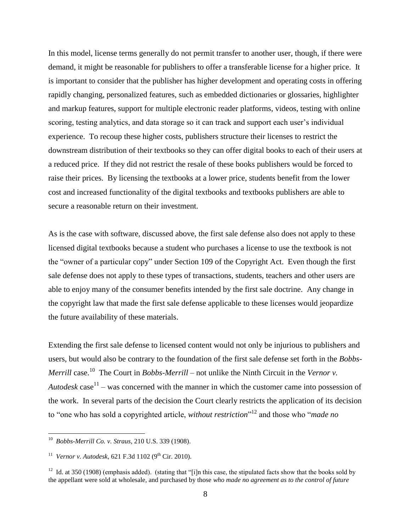In this model, license terms generally do not permit transfer to another user, though, if there were demand, it might be reasonable for publishers to offer a transferable license for a higher price. It is important to consider that the publisher has higher development and operating costs in offering rapidly changing, personalized features, such as embedded dictionaries or glossaries, highlighter and markup features, support for multiple electronic reader platforms, videos, testing with online scoring, testing analytics, and data storage so it can track and support each user's individual experience. To recoup these higher costs, publishers structure their licenses to restrict the downstream distribution of their textbooks so they can offer digital books to each of their users at a reduced price. If they did not restrict the resale of these books publishers would be forced to raise their prices. By licensing the textbooks at a lower price, students benefit from the lower cost and increased functionality of the digital textbooks and textbooks publishers are able to secure a reasonable return on their investment.

As is the case with software, discussed above, the first sale defense also does not apply to these licensed digital textbooks because a student who purchases a license to use the textbook is not the "owner of a particular copy" under Section 109 of the Copyright Act. Even though the first sale defense does not apply to these types of transactions, students, teachers and other users are able to enjoy many of the consumer benefits intended by the first sale doctrine. Any change in the copyright law that made the first sale defense applicable to these licenses would jeopardize the future availability of these materials.

Extending the first sale defense to licensed content would not only be injurious to publishers and users, but would also be contrary to the foundation of the first sale defense set forth in the *Bobbs-Merrill* case.<sup>10</sup> The Court in *Bobbs-Merrill* – not unlike the Ninth Circuit in the *Vernor v*. Autodesk case<sup>11</sup> – was concerned with the manner in which the customer came into possession of the work. In several parts of the decision the Court clearly restricts the application of its decision to "one who has sold a copyrighted article, *without restriction*" <sup>12</sup> and those who "*made no* 

 10 *Bobbs-Merrill Co. v. Straus*, 210 U.S. 339 (1908).

<sup>&</sup>lt;sup>11</sup> *Vernor v. Autodesk*, 621 F.3d 1102 (9<sup>th</sup> Cir. 2010).

<sup>&</sup>lt;sup>12</sup> Id. at 350 (1908) (emphasis added). (stating that "[i]n this case, the stipulated facts show that the books sold by the appellant were sold at wholesale, and purchased by those *who made no agreement as to the control of future*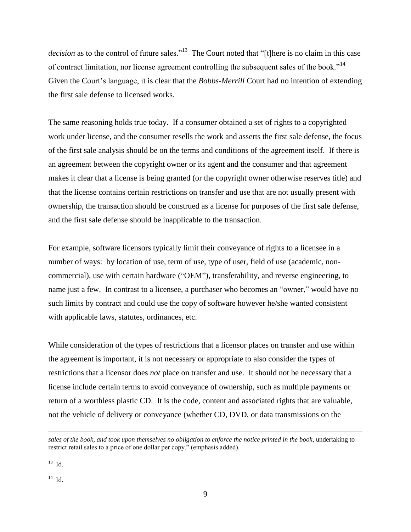decision as to the control of future sales."<sup>13</sup> The Court noted that "[t]here is no claim in this case of contract limitation, nor license agreement controlling the subsequent sales of the book."<sup>14</sup> Given the Court's language, it is clear that the *Bobbs-Merrill* Court had no intention of extending the first sale defense to licensed works.

The same reasoning holds true today. If a consumer obtained a set of rights to a copyrighted work under license, and the consumer resells the work and asserts the first sale defense, the focus of the first sale analysis should be on the terms and conditions of the agreement itself. If there is an agreement between the copyright owner or its agent and the consumer and that agreement makes it clear that a license is being granted (or the copyright owner otherwise reserves title) and that the license contains certain restrictions on transfer and use that are not usually present with ownership, the transaction should be construed as a license for purposes of the first sale defense, and the first sale defense should be inapplicable to the transaction.

For example, software licensors typically limit their conveyance of rights to a licensee in a number of ways: by location of use, term of use, type of user, field of use (academic, noncommercial), use with certain hardware ("OEM"), transferability, and reverse engineering, to name just a few. In contrast to a licensee, a purchaser who becomes an "owner," would have no such limits by contract and could use the copy of software however he/she wanted consistent with applicable laws, statutes, ordinances, etc.

While consideration of the types of restrictions that a licensor places on transfer and use within the agreement is important, it is not necessary or appropriate to also consider the types of restrictions that a licensor does *not* place on transfer and use. It should not be necessary that a license include certain terms to avoid conveyance of ownership, such as multiple payments or return of a worthless plastic CD. It is the code, content and associated rights that are valuable, not the vehicle of delivery or conveyance (whether CD, DVD, or data transmissions on the

*sales of the book*, *and took upon themselves no obligation to enforce the notice printed in the book*, undertaking to restrict retail sales to a price of one dollar per copy." (emphasis added).

 $^{13}$  Id.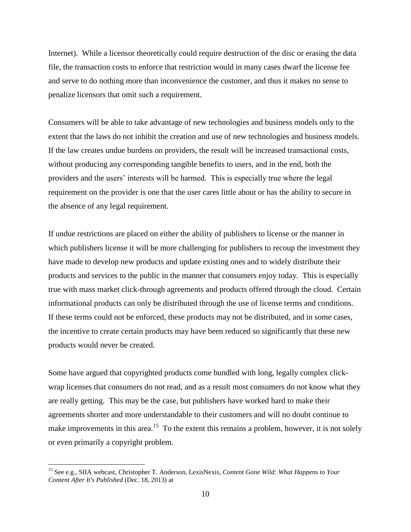Internet). While a licensor theoretically could require destruction of the disc or erasing the data file, the transaction costs to enforce that restriction would in many cases dwarf the license fee and serve to do nothing more than inconvenience the customer, and thus it makes no sense to penalize licensors that omit such a requirement.

Consumers will be able to take advantage of new technologies and business models only to the extent that the laws do not inhibit the creation and use of new technologies and business models. If the law creates undue burdens on providers, the result will be increased transactional costs, without producing any corresponding tangible benefits to users, and in the end, both the providers and the users' interests will be harmed. This is especially true where the legal requirement on the provider is one that the user cares little about or has the ability to secure in the absence of any legal requirement.

If undue restrictions are placed on either the ability of publishers to license or the manner in which publishers license it will be more challenging for publishers to recoup the investment they have made to develop new products and update existing ones and to widely distribute their products and services to the public in the manner that consumers enjoy today. This is especially true with mass market click-through agreements and products offered through the cloud. Certain informational products can only be distributed through the use of license terms and conditions. If these terms could not be enforced, these products may not be distributed, and in some cases, the incentive to create certain products may have been reduced so significantly that these new products would never be created.

Some have argued that copyrighted products come bundled with long, legally complex clickwrap licenses that consumers do not read, and as a result most consumers do not know what they are really getting. This may be the case, but publishers have worked hard to make their agreements shorter and more understandable to their customers and will no doubt continue to make improvements in this area.<sup>15</sup> To the extent this remains a problem, however, it is not solely or even primarily a copyright problem.

<sup>15</sup> See e.g., SIIA webcast, Christopher T. Anderson, LexisNexis, *Content Gone Wild: What Happens to Your Content After It's Published* (Dec. 18, 2013) at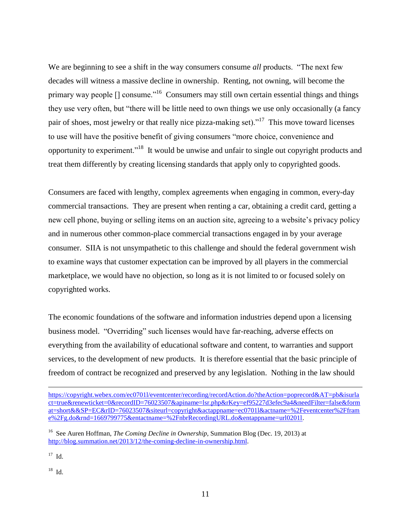We are beginning to see a shift in the way consumers consume *all* products. "The next few decades will witness a massive decline in ownership. Renting, not owning, will become the primary way people  $\left[\right]$  consume."<sup>16</sup> Consumers may still own certain essential things and things they use very often, but "there will be little need to own things we use only occasionally (a fancy pair of shoes, most jewelry or that really nice pizza-making set)."<sup>17</sup> This move toward licenses to use will have the positive benefit of giving consumers "more choice, convenience and opportunity to experiment."<sup>18</sup> It would be unwise and unfair to single out copyright products and treat them differently by creating licensing standards that apply only to copyrighted goods.

Consumers are faced with lengthy, complex agreements when engaging in common, every-day commercial transactions. They are present when renting a car, obtaining a credit card, getting a new cell phone, buying or selling items on an auction site, agreeing to a website's privacy policy and in numerous other common-place commercial transactions engaged in by your average consumer. SIIA is not unsympathetic to this challenge and should the federal government wish to examine ways that customer expectation can be improved by all players in the commercial marketplace, we would have no objection, so long as it is not limited to or focused solely on copyrighted works.

The economic foundations of the software and information industries depend upon a licensing business model. "Overriding" such licenses would have far-reaching, adverse effects on everything from the availability of educational software and content, to warranties and support services, to the development of new products. It is therefore essential that the basic principle of freedom of contract be recognized and preserved by any legislation. Nothing in the law should

17 Id.

 $\overline{a}$ 

18 Id.

[https://copyright.webex.com/ec0701l/eventcenter/recording/recordAction.do?theAction=poprecord&AT=pb&isurla](https://copyright.webex.com/ec0701l/eventcenter/recording/recordAction.do?theAction=poprecord&AT=pb&isurlact=true&renewticket=0&recordID=76023507&apiname=lsr.php&rKey=ef95227d3efec9a4&needFilter=false&format=short&&SP=EC&rID=76023507&siteurl=copyright&actappname=ec0701l&actname=%2Feventcenter%2Fframe%2Fg.do&rnd=1669799775&entactname=%2FnbrRecordingURL.do&entappname=url0201l) [ct=true&renewticket=0&recordID=76023507&apiname=lsr.php&rKey=ef95227d3efec9a4&needFilter=false&form](https://copyright.webex.com/ec0701l/eventcenter/recording/recordAction.do?theAction=poprecord&AT=pb&isurlact=true&renewticket=0&recordID=76023507&apiname=lsr.php&rKey=ef95227d3efec9a4&needFilter=false&format=short&&SP=EC&rID=76023507&siteurl=copyright&actappname=ec0701l&actname=%2Feventcenter%2Fframe%2Fg.do&rnd=1669799775&entactname=%2FnbrRecordingURL.do&entappname=url0201l) [at=short&&SP=EC&rID=76023507&siteurl=copyright&actappname=ec0701l&actname=%2Feventcenter%2Ffram](https://copyright.webex.com/ec0701l/eventcenter/recording/recordAction.do?theAction=poprecord&AT=pb&isurlact=true&renewticket=0&recordID=76023507&apiname=lsr.php&rKey=ef95227d3efec9a4&needFilter=false&format=short&&SP=EC&rID=76023507&siteurl=copyright&actappname=ec0701l&actname=%2Feventcenter%2Fframe%2Fg.do&rnd=1669799775&entactname=%2FnbrRecordingURL.do&entappname=url0201l) [e%2Fg.do&rnd=1669799775&entactname=%2FnbrRecordingURL.do&entappname=url0201l.](https://copyright.webex.com/ec0701l/eventcenter/recording/recordAction.do?theAction=poprecord&AT=pb&isurlact=true&renewticket=0&recordID=76023507&apiname=lsr.php&rKey=ef95227d3efec9a4&needFilter=false&format=short&&SP=EC&rID=76023507&siteurl=copyright&actappname=ec0701l&actname=%2Feventcenter%2Fframe%2Fg.do&rnd=1669799775&entactname=%2FnbrRecordingURL.do&entappname=url0201l)

<sup>&</sup>lt;sup>16</sup> See Auren Hoffman, *The Coming Decline in Ownership*, Summation Blog (Dec. 19, 2013) at [http://blog.summation.net/2013/12/the-coming-decline-in-ownership.html.](http://blog.summation.net/2013/12/the-coming-decline-in-ownership.html)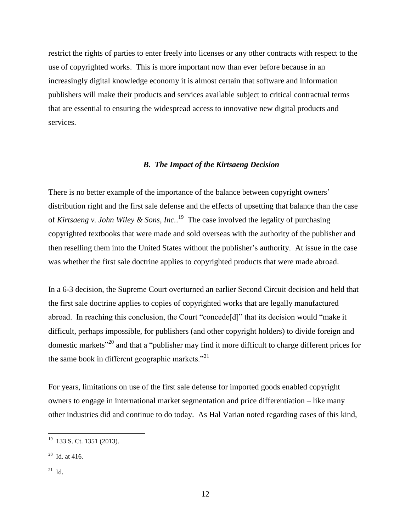restrict the rights of parties to enter freely into licenses or any other contracts with respect to the use of copyrighted works. This is more important now than ever before because in an increasingly digital knowledge economy it is almost certain that software and information publishers will make their products and services available subject to critical contractual terms that are essential to ensuring the widespread access to innovative new digital products and services.

#### *B. The Impact of the Kirtsaeng Decision*

There is no better example of the importance of the balance between copyright owners' distribution right and the first sale defense and the effects of upsetting that balance than the case of *Kirtsaeng v. John Wiley & Sons, Inc.*. 19 The case involved the legality of purchasing copyrighted textbooks that were made and sold overseas with the authority of the publisher and then reselling them into the United States without the publisher's authority. At issue in the case was whether the first sale doctrine applies to copyrighted products that were made abroad.

In a 6-3 decision, the Supreme Court overturned an earlier Second Circuit decision and held that the first sale doctrine applies to copies of copyrighted works that are legally manufactured abroad. In reaching this conclusion, the Court "concede[d]" that its decision would "make it difficult, perhaps impossible, for publishers (and other copyright holders) to divide foreign and domestic markets<sup>"20</sup> and that a "publisher may find it more difficult to charge different prices for the same book in different geographic markets."<sup>21</sup>

For years, limitations on use of the first sale defense for imported goods enabled copyright owners to engage in international market segmentation and price differentiation – like many other industries did and continue to do today. As Hal Varian noted regarding cases of this kind,

 19 133 S. Ct. 1351 (2013).

 $20$  Id. at 416.

 $^{21}$  Id.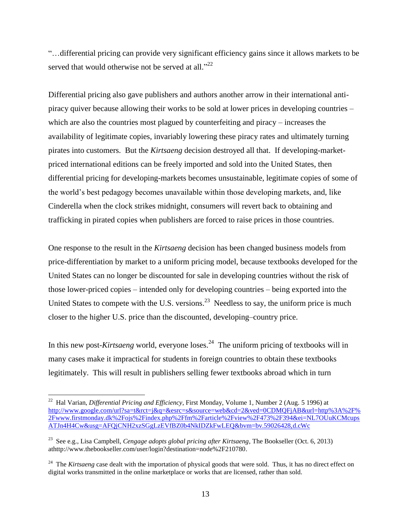"…differential pricing can provide very significant efficiency gains since it allows markets to be served that would otherwise not be served at all."<sup>22</sup>

Differential pricing also gave publishers and authors another arrow in their international antipiracy quiver because allowing their works to be sold at lower prices in developing countries – which are also the countries most plagued by counterfeiting and piracy – increases the availability of legitimate copies, invariably lowering these piracy rates and ultimately turning pirates into customers. But the *Kirtsaeng* decision destroyed all that. If developing-marketpriced international editions can be freely imported and sold into the United States, then differential pricing for developing-markets becomes unsustainable, legitimate copies of some of the world's best pedagogy becomes unavailable within those developing markets, and, like Cinderella when the clock strikes midnight, consumers will revert back to obtaining and trafficking in pirated copies when publishers are forced to raise prices in those countries.

One response to the result in the *Kirtsaeng* decision has been changed business models from price-differentiation by market to a uniform pricing model, because textbooks developed for the United States can no longer be discounted for sale in developing countries without the risk of those lower-priced copies – intended only for developing countries – being exported into the United States to compete with the U.S. versions.<sup>23</sup> Needless to say, the uniform price is much closer to the higher U.S. price than the discounted, developing–country price.

In this new post-*Kirtsaeng* world, everyone loses.<sup>24</sup> The uniform pricing of textbooks will in many cases make it impractical for students in foreign countries to obtain these textbooks legitimately. This will result in publishers selling fewer textbooks abroad which in turn

<sup>22</sup> Hal Varian, *Differential Pricing and Efficiency*, First Monday, Volume 1, Number 2 (Aug. 5 1996) at [http://www.google.com/url?sa=t&rct=j&q=&esrc=s&source=web&cd=2&ved=0CDMQFjAB&url=http%3A%2F%](http://www.google.com/url?sa=t&rct=j&q=&esrc=s&source=web&cd=2&ved=0CDMQFjAB&url=http%3A%2F%2Fwww.firstmonday.dk%2Fojs%2Findex.php%2Ffm%2Farticle%2Fview%2F473%2F394&ei=NL7OUuKCMcupsATJn4H4Cw&usg=AFQjCNH2xzSGgLzEVfBZ0b4NkIDZkFwLEQ&bvm=bv.59026428,d.cWc) [2Fwww.firstmonday.dk%2Fojs%2Findex.php%2Ffm%2Farticle%2Fview%2F473%2F394&ei=NL7OUuKCMcups](http://www.google.com/url?sa=t&rct=j&q=&esrc=s&source=web&cd=2&ved=0CDMQFjAB&url=http%3A%2F%2Fwww.firstmonday.dk%2Fojs%2Findex.php%2Ffm%2Farticle%2Fview%2F473%2F394&ei=NL7OUuKCMcupsATJn4H4Cw&usg=AFQjCNH2xzSGgLzEVfBZ0b4NkIDZkFwLEQ&bvm=bv.59026428,d.cWc) [ATJn4H4Cw&usg=AFQjCNH2xzSGgLzEVfBZ0b4NkIDZkFwLEQ&bvm=bv.59026428,d.cWc](http://www.google.com/url?sa=t&rct=j&q=&esrc=s&source=web&cd=2&ved=0CDMQFjAB&url=http%3A%2F%2Fwww.firstmonday.dk%2Fojs%2Findex.php%2Ffm%2Farticle%2Fview%2F473%2F394&ei=NL7OUuKCMcupsATJn4H4Cw&usg=AFQjCNH2xzSGgLzEVfBZ0b4NkIDZkFwLEQ&bvm=bv.59026428,d.cWc)

<sup>23</sup> See e.g., Lisa Campbell, *Cengage adopts global pricing after Kirtsaeng*, The Bookseller (Oct. 6, 2013) athttp://www.thebookseller.com/user/login?destination=node%2F210780.

<sup>&</sup>lt;sup>24</sup> The *Kirtsaeng* case dealt with the importation of physical goods that were sold. Thus, it has no direct effect on digital works transmitted in the online marketplace or works that are licensed, rather than sold.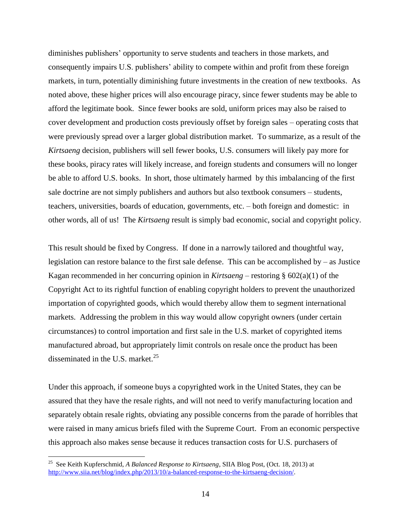diminishes publishers' opportunity to serve students and teachers in those markets, and consequently impairs U.S. publishers' ability to compete within and profit from these foreign markets, in turn, potentially diminishing future investments in the creation of new textbooks. As noted above, these higher prices will also encourage piracy, since fewer students may be able to afford the legitimate book. Since fewer books are sold, uniform prices may also be raised to cover development and production costs previously offset by foreign sales – operating costs that were previously spread over a larger global distribution market. To summarize, as a result of the *Kirtsaeng* decision, publishers will sell fewer books, U.S. consumers will likely pay more for these books, piracy rates will likely increase, and foreign students and consumers will no longer be able to afford U.S. books. In short, those ultimately harmed by this imbalancing of the first sale doctrine are not simply publishers and authors but also textbook consumers – students, teachers, universities, boards of education, governments, etc. – both foreign and domestic: in other words, all of us! The *Kirtsaeng* result is simply bad economic, social and copyright policy.

This result should be fixed by Congress. If done in a narrowly tailored and thoughtful way, legislation can restore balance to the first sale defense. This can be accomplished by – as Justice Kagan recommended in her concurring opinion in *Kirtsaeng* – restoring § 602(a)(1) of the Copyright Act to its rightful function of enabling copyright holders to prevent the unauthorized importation of copyrighted goods, which would thereby allow them to segment international markets. Addressing the problem in this way would allow copyright owners (under certain circumstances) to control importation and first sale in the U.S. market of copyrighted items manufactured abroad, but appropriately limit controls on resale once the product has been disseminated in the U.S. market. $^{25}$ 

Under this approach, if someone buys a copyrighted work in the United States, they can be assured that they have the resale rights, and will not need to verify manufacturing location and separately obtain resale rights, obviating any possible concerns from the parade of horribles that were raised in many amicus briefs filed with the Supreme Court. From an economic perspective this approach also makes sense because it reduces transaction costs for U.S. purchasers of

<sup>25</sup> See Keith Kupferschmid, *A Balanced Response to Kirtsaeng*, SIIA Blog Post, (Oct. 18, 2013) at [http://www.siia.net/blog/index.php/2013/10/a-balanced-response-to-the-kirtsaeng-decision/.](http://www.siia.net/blog/index.php/2013/10/a-balanced-response-to-the-kirtsaeng-decision/)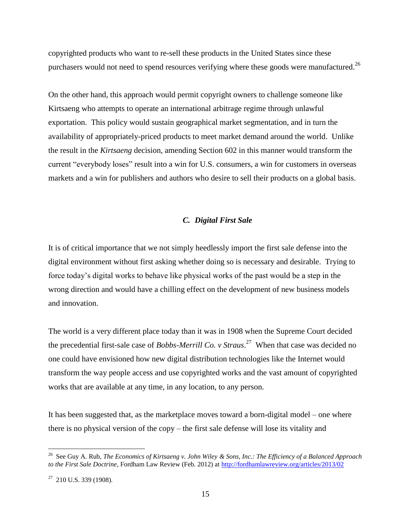copyrighted products who want to re-sell these products in the United States since these purchasers would not need to spend resources verifying where these goods were manufactured.<sup>26</sup>

On the other hand, this approach would permit copyright owners to challenge someone like Kirtsaeng who attempts to operate an international arbitrage regime through unlawful exportation. This policy would sustain geographical market segmentation, and in turn the availability of appropriately-priced products to meet market demand around the world. Unlike the result in the *Kirtsaeng* decision, amending Section 602 in this manner would transform the current "everybody loses" result into a win for U.S. consumers, a win for customers in overseas markets and a win for publishers and authors who desire to sell their products on a global basis.

#### *C. Digital First Sale*

It is of critical importance that we not simply heedlessly import the first sale defense into the digital environment without first asking whether doing so is necessary and desirable. Trying to force today's digital works to behave like physical works of the past would be a step in the wrong direction and would have a chilling effect on the development of new business models and innovation.

The world is a very different place today than it was in 1908 when the Supreme Court decided the precedential first-sale case of *Bobbs-Merrill Co. v Straus*. 27 When that case was decided no one could have envisioned how new digital distribution technologies like the Internet would transform the way people access and use copyrighted works and the vast amount of copyrighted works that are available at any time, in any location, to any person.

It has been suggested that, as the marketplace moves toward a born-digital model – one where there is no physical version of the copy – the first sale defense will lose its vitality and

<sup>26</sup> See Guy A. Rub, *The Economics of Kirtsaeng v. John Wiley & Sons, Inc.: The Efficiency of a Balanced Approach to the First Sale Doctrine*, Fordham Law Review (Feb. 2012) at<http://fordhamlawreview.org/articles/2013/02>

 $27$  210 U.S. 339 (1908).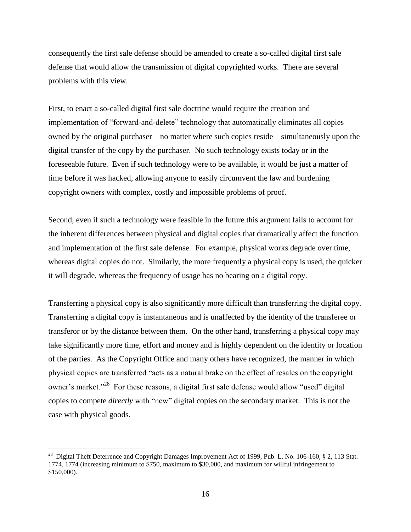consequently the first sale defense should be amended to create a so-called digital first sale defense that would allow the transmission of digital copyrighted works. There are several problems with this view.

First, to enact a so-called digital first sale doctrine would require the creation and implementation of "forward-and-delete" technology that automatically eliminates all copies owned by the original purchaser – no matter where such copies reside – simultaneously upon the digital transfer of the copy by the purchaser. No such technology exists today or in the foreseeable future. Even if such technology were to be available, it would be just a matter of time before it was hacked, allowing anyone to easily circumvent the law and burdening copyright owners with complex, costly and impossible problems of proof.

Second, even if such a technology were feasible in the future this argument fails to account for the inherent differences between physical and digital copies that dramatically affect the function and implementation of the first sale defense. For example, physical works degrade over time, whereas digital copies do not. Similarly, the more frequently a physical copy is used, the quicker it will degrade, whereas the frequency of usage has no bearing on a digital copy.

Transferring a physical copy is also significantly more difficult than transferring the digital copy. Transferring a digital copy is instantaneous and is unaffected by the identity of the transferee or transferor or by the distance between them. On the other hand, transferring a physical copy may take significantly more time, effort and money and is highly dependent on the identity or location of the parties. As the Copyright Office and many others have recognized, the manner in which physical copies are transferred "acts as a natural brake on the effect of resales on the copyright owner's market."<sup>28</sup> For these reasons, a digital first sale defense would allow "used" digital copies to compete *directly* with "new" digital copies on the secondary market. This is not the case with physical goods.

<sup>&</sup>lt;sup>28</sup> Digital Theft Deterrence and Copyright Damages Improvement Act of 1999, Pub. L. No. 106-160, § 2, 113 Stat. 1774, 1774 (increasing minimum to \$750, maximum to \$30,000, and maximum for willful infringement to \$150,000).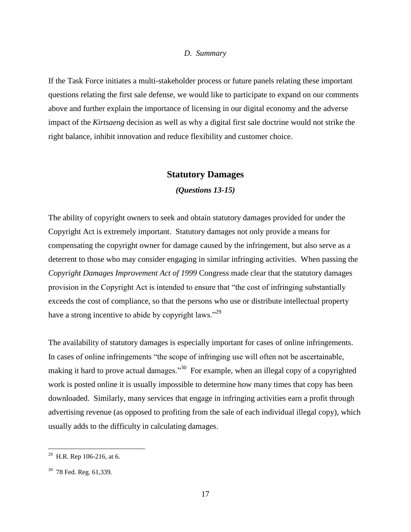#### *D. Summary*

If the Task Force initiates a multi-stakeholder process or future panels relating these important questions relating the first sale defense, we would like to participate to expand on our comments above and further explain the importance of licensing in our digital economy and the adverse impact of the *Kirtsaeng* decision as well as why a digital first sale doctrine would not strike the right balance, inhibit innovation and reduce flexibility and customer choice.

#### **Statutory Damages**

*(Questions 13-15)*

The ability of copyright owners to seek and obtain statutory damages provided for under the Copyright Act is extremely important. Statutory damages not only provide a means for compensating the copyright owner for damage caused by the infringement, but also serve as a deterrent to those who may consider engaging in similar infringing activities. When passing the *Copyright Damages Improvement Act of 1999* Congress made clear that the statutory damages provision in the Copyright Act is intended to ensure that "the cost of infringing substantially exceeds the cost of compliance, so that the persons who use or distribute intellectual property have a strong incentive to abide by copyright laws."<sup>29</sup>

The availability of statutory damages is especially important for cases of online infringements. In cases of online infringements "the scope of infringing use will often not be ascertainable, making it hard to prove actual damages."<sup>30</sup> For example, when an illegal copy of a copyrighted work is posted online it is usually impossible to determine how many times that copy has been downloaded. Similarly, many services that engage in infringing activities earn a profit through advertising revenue (as opposed to profiting from the sale of each individual illegal copy), which usually adds to the difficulty in calculating damages.

<sup>&</sup>lt;sup>29</sup> H.R. Rep 106-216, at 6.

 $30$  78 Fed. Reg. 61,339.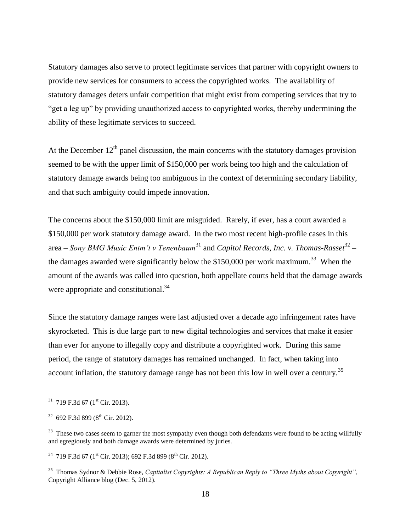Statutory damages also serve to protect legitimate services that partner with copyright owners to provide new services for consumers to access the copyrighted works. The availability of statutory damages deters unfair competition that might exist from competing services that try to "get a leg up" by providing unauthorized access to copyrighted works, thereby undermining the ability of these legitimate services to succeed.

At the December  $12<sup>th</sup>$  panel discussion, the main concerns with the statutory damages provision seemed to be with the upper limit of \$150,000 per work being too high and the calculation of statutory damage awards being too ambiguous in the context of determining secondary liability, and that such ambiguity could impede innovation.

The concerns about the \$150,000 limit are misguided. Rarely, if ever, has a court awarded a \$150,000 per work statutory damage award. In the two most recent high-profile cases in this area – *Sony BMG Music Entm't v Tenenbaum*<sup>31</sup> and *Capitol Records, Inc. v. Thomas-Rasset*<sup>32</sup> – the damages awarded were significantly below the \$150,000 per work maximum.<sup>33</sup> When the amount of the awards was called into question, both appellate courts held that the damage awards were appropriate and constitutional.<sup>34</sup>

Since the statutory damage ranges were last adjusted over a decade ago infringement rates have skyrocketed. This is due large part to new digital technologies and services that make it easier than ever for anyone to illegally copy and distribute a copyrighted work. During this same period, the range of statutory damages has remained unchanged. In fact, when taking into account inflation, the statutory damage range has not been this low in well over a century.<sup>35</sup>

 $31$  719 F.3d 67 (1<sup>st</sup> Cir. 2013).

 $32$  692 F.3d 899 (8<sup>th</sup> Cir. 2012).

 $33$  These two cases seem to garner the most sympathy even though both defendants were found to be acting willfully and egregiously and both damage awards were determined by juries.

 $34$  719 F.3d 67 (1<sup>st</sup> Cir. 2013); 692 F.3d 899 (8<sup>th</sup> Cir. 2012).

<sup>35</sup> Thomas Sydnor & Debbie Rose, *Capitalist Copyrights: A Republican Reply to "Three Myths about Copyright"*, Copyright Alliance blog (Dec. 5, 2012).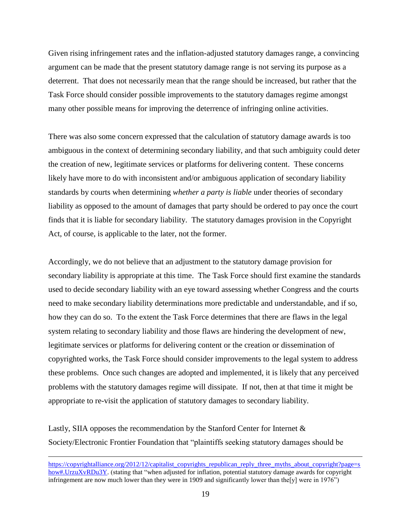Given rising infringement rates and the inflation-adjusted statutory damages range, a convincing argument can be made that the present statutory damage range is not serving its purpose as a deterrent. That does not necessarily mean that the range should be increased, but rather that the Task Force should consider possible improvements to the statutory damages regime amongst many other possible means for improving the deterrence of infringing online activities.

There was also some concern expressed that the calculation of statutory damage awards is too ambiguous in the context of determining secondary liability, and that such ambiguity could deter the creation of new, legitimate services or platforms for delivering content. These concerns likely have more to do with inconsistent and/or ambiguous application of secondary liability standards by courts when determining *whether a party is liable* under theories of secondary liability as opposed to the amount of damages that party should be ordered to pay once the court finds that it is liable for secondary liability. The statutory damages provision in the Copyright Act, of course, is applicable to the later, not the former.

Accordingly, we do not believe that an adjustment to the statutory damage provision for secondary liability is appropriate at this time. The Task Force should first examine the standards used to decide secondary liability with an eye toward assessing whether Congress and the courts need to make secondary liability determinations more predictable and understandable, and if so, how they can do so. To the extent the Task Force determines that there are flaws in the legal system relating to secondary liability and those flaws are hindering the development of new, legitimate services or platforms for delivering content or the creation or dissemination of copyrighted works, the Task Force should consider improvements to the legal system to address these problems. Once such changes are adopted and implemented, it is likely that any perceived problems with the statutory damages regime will dissipate. If not, then at that time it might be appropriate to re-visit the application of statutory damages to secondary liability.

Lastly, SIIA opposes the recommendation by the Stanford Center for Internet & Society/Electronic Frontier Foundation that "plaintiffs seeking statutory damages should be

[https://copyrightalliance.org/2012/12/capitalist\\_copyrights\\_republican\\_reply\\_three\\_myths\\_about\\_copyright?page=s](https://copyrightalliance.org/2012/12/capitalist_copyrights_republican_reply_three_myths_about_copyright?page=show#.UrzuXvRDu3Y) [how#.UrzuXvRDu3Y.](https://copyrightalliance.org/2012/12/capitalist_copyrights_republican_reply_three_myths_about_copyright?page=show#.UrzuXvRDu3Y) (stating that "when adjusted for inflation, potential statutory damage awards for copyright infringement are now much lower than they were in 1909 and significantly lower than the [y] were in 1976")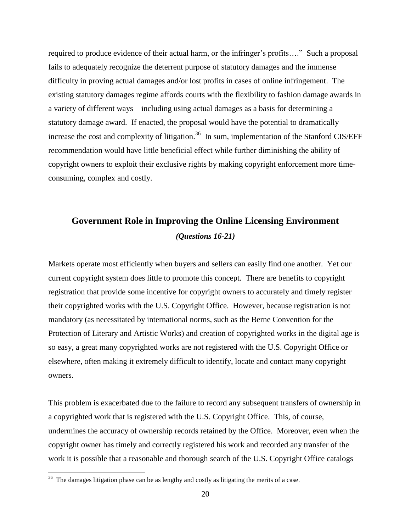required to produce evidence of their actual harm, or the infringer's profits…." Such a proposal fails to adequately recognize the deterrent purpose of statutory damages and the immense difficulty in proving actual damages and/or lost profits in cases of online infringement. The existing statutory damages regime affords courts with the flexibility to fashion damage awards in a variety of different ways – including using actual damages as a basis for determining a statutory damage award. If enacted, the proposal would have the potential to dramatically increase the cost and complexity of litigation.<sup>36</sup> In sum, implementation of the Stanford CIS/EFF recommendation would have little beneficial effect while further diminishing the ability of copyright owners to exploit their exclusive rights by making copyright enforcement more timeconsuming, complex and costly.

# **Government Role in Improving the Online Licensing Environment** *(Questions 16-21)*

Markets operate most efficiently when buyers and sellers can easily find one another. Yet our current copyright system does little to promote this concept. There are benefits to copyright registration that provide some incentive for copyright owners to accurately and timely register their copyrighted works with the U.S. Copyright Office. However, because registration is not mandatory (as necessitated by international norms, such as the Berne Convention for the Protection of Literary and Artistic Works) and creation of copyrighted works in the digital age is so easy, a great many copyrighted works are not registered with the U.S. Copyright Office or elsewhere, often making it extremely difficult to identify, locate and contact many copyright owners.

This problem is exacerbated due to the failure to record any subsequent transfers of ownership in a copyrighted work that is registered with the U.S. Copyright Office. This, of course, undermines the accuracy of ownership records retained by the Office. Moreover, even when the copyright owner has timely and correctly registered his work and recorded any transfer of the work it is possible that a reasonable and thorough search of the U.S. Copyright Office catalogs

<sup>&</sup>lt;sup>36</sup> The damages litigation phase can be as lengthy and costly as litigating the merits of a case.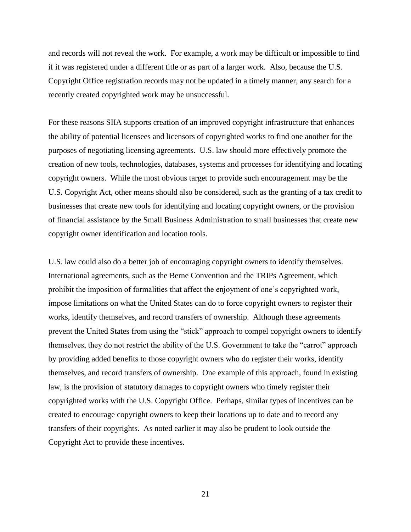and records will not reveal the work. For example, a work may be difficult or impossible to find if it was registered under a different title or as part of a larger work. Also, because the U.S. Copyright Office registration records may not be updated in a timely manner, any search for a recently created copyrighted work may be unsuccessful.

For these reasons SIIA supports creation of an improved copyright infrastructure that enhances the ability of potential licensees and licensors of copyrighted works to find one another for the purposes of negotiating licensing agreements. U.S. law should more effectively promote the creation of new tools, technologies, databases, systems and processes for identifying and locating copyright owners. While the most obvious target to provide such encouragement may be the U.S. Copyright Act, other means should also be considered, such as the granting of a tax credit to businesses that create new tools for identifying and locating copyright owners, or the provision of financial assistance by the Small Business Administration to small businesses that create new copyright owner identification and location tools.

U.S. law could also do a better job of encouraging copyright owners to identify themselves. International agreements, such as the Berne Convention and the TRIPs Agreement, which prohibit the imposition of formalities that affect the enjoyment of one's copyrighted work, impose limitations on what the United States can do to force copyright owners to register their works, identify themselves, and record transfers of ownership. Although these agreements prevent the United States from using the "stick" approach to compel copyright owners to identify themselves, they do not restrict the ability of the U.S. Government to take the "carrot" approach by providing added benefits to those copyright owners who do register their works, identify themselves, and record transfers of ownership. One example of this approach, found in existing law, is the provision of statutory damages to copyright owners who timely register their copyrighted works with the U.S. Copyright Office. Perhaps, similar types of incentives can be created to encourage copyright owners to keep their locations up to date and to record any transfers of their copyrights. As noted earlier it may also be prudent to look outside the Copyright Act to provide these incentives.

21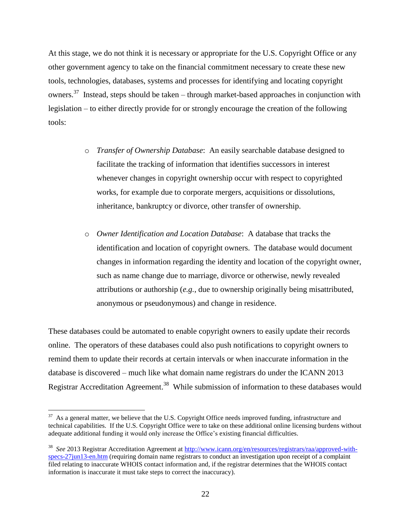At this stage, we do not think it is necessary or appropriate for the U.S. Copyright Office or any other government agency to take on the financial commitment necessary to create these new tools, technologies, databases, systems and processes for identifying and locating copyright owners.<sup>37</sup> Instead, steps should be taken – through market-based approaches in conjunction with legislation – to either directly provide for or strongly encourage the creation of the following tools:

- o *Transfer of Ownership Database*: An easily searchable database designed to facilitate the tracking of information that identifies successors in interest whenever changes in copyright ownership occur with respect to copyrighted works, for example due to corporate mergers, acquisitions or dissolutions, inheritance, bankruptcy or divorce, other transfer of ownership.
- o *Owner Identification and Location Database*: A database that tracks the identification and location of copyright owners. The database would document changes in information regarding the identity and location of the copyright owner, such as name change due to marriage, divorce or otherwise, newly revealed attributions or authorship (*e.g.*, due to ownership originally being misattributed, anonymous or pseudonymous) and change in residence.

These databases could be automated to enable copyright owners to easily update their records online. The operators of these databases could also push notifications to copyright owners to remind them to update their records at certain intervals or when inaccurate information in the database is discovered – much like what domain name registrars do under the ICANN 2013 Registrar Accreditation Agreement.<sup>38</sup> While submission of information to these databases would

 $37$  As a general matter, we believe that the U.S. Copyright Office needs improved funding, infrastructure and technical capabilities. If the U.S. Copyright Office were to take on these additional online licensing burdens without adequate additional funding it would only increase the Office's existing financial difficulties.

<sup>38</sup> *See* 2013 Registrar Accreditation Agreement at [http://www.icann.org/en/resources/registrars/raa/approved-with](http://www.icann.org/en/resources/registrars/raa/approved-with-specs-27jun13-en.htm)[specs-27jun13-en.htm](http://www.icann.org/en/resources/registrars/raa/approved-with-specs-27jun13-en.htm) (requiring domain name registrars to conduct an investigation upon receipt of a complaint filed relating to inaccurate WHOIS contact information and, if the registrar determines that the WHOIS contact information is inaccurate it must take steps to correct the inaccuracy).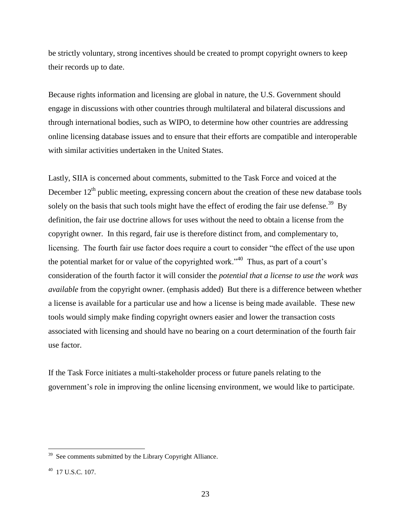be strictly voluntary, strong incentives should be created to prompt copyright owners to keep their records up to date.

Because rights information and licensing are global in nature, the U.S. Government should engage in discussions with other countries through multilateral and bilateral discussions and through international bodies, such as WIPO, to determine how other countries are addressing online licensing database issues and to ensure that their efforts are compatible and interoperable with similar activities undertaken in the United States.

Lastly, SIIA is concerned about comments, submitted to the Task Force and voiced at the December  $12<sup>th</sup>$  public meeting, expressing concern about the creation of these new database tools solely on the basis that such tools might have the effect of eroding the fair use defense.<sup>39</sup> By definition, the fair use doctrine allows for uses without the need to obtain a license from the copyright owner. In this regard, fair use is therefore distinct from, and complementary to, licensing. The fourth fair use factor does require a court to consider "the effect of the use upon the potential market for or value of the copyrighted work."<sup>40</sup> Thus, as part of a court's consideration of the fourth factor it will consider the *potential that a license to use the work was available* from the copyright owner. (emphasis added) But there is a difference between whether a license is available for a particular use and how a license is being made available. These new tools would simply make finding copyright owners easier and lower the transaction costs associated with licensing and should have no bearing on a court determination of the fourth fair use factor.

If the Task Force initiates a multi-stakeholder process or future panels relating to the government's role in improving the online licensing environment, we would like to participate.

<sup>&</sup>lt;sup>39</sup> See comments submitted by the Library Copyright Alliance.

<sup>40</sup> 17 U.S.C. 107.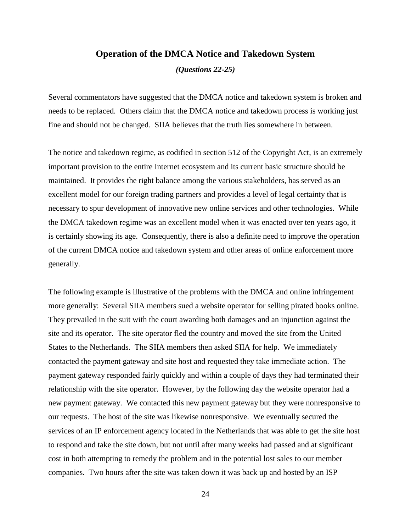#### **Operation of the DMCA Notice and Takedown System**

*(Questions 22-25)*

Several commentators have suggested that the DMCA notice and takedown system is broken and needs to be replaced. Others claim that the DMCA notice and takedown process is working just fine and should not be changed. SIIA believes that the truth lies somewhere in between.

The notice and takedown regime, as codified in section 512 of the Copyright Act, is an extremely important provision to the entire Internet ecosystem and its current basic structure should be maintained. It provides the right balance among the various stakeholders, has served as an excellent model for our foreign trading partners and provides a level of legal certainty that is necessary to spur development of innovative new online services and other technologies. While the DMCA takedown regime was an excellent model when it was enacted over ten years ago, it is certainly showing its age. Consequently, there is also a definite need to improve the operation of the current DMCA notice and takedown system and other areas of online enforcement more generally.

The following example is illustrative of the problems with the DMCA and online infringement more generally: Several SIIA members sued a website operator for selling pirated books online. They prevailed in the suit with the court awarding both damages and an injunction against the site and its operator. The site operator fled the country and moved the site from the United States to the Netherlands. The SIIA members then asked SIIA for help. We immediately contacted the payment gateway and site host and requested they take immediate action. The payment gateway responded fairly quickly and within a couple of days they had terminated their relationship with the site operator. However, by the following day the website operator had a new payment gateway. We contacted this new payment gateway but they were nonresponsive to our requests. The host of the site was likewise nonresponsive. We eventually secured the services of an IP enforcement agency located in the Netherlands that was able to get the site host to respond and take the site down, but not until after many weeks had passed and at significant cost in both attempting to remedy the problem and in the potential lost sales to our member companies. Two hours after the site was taken down it was back up and hosted by an ISP

24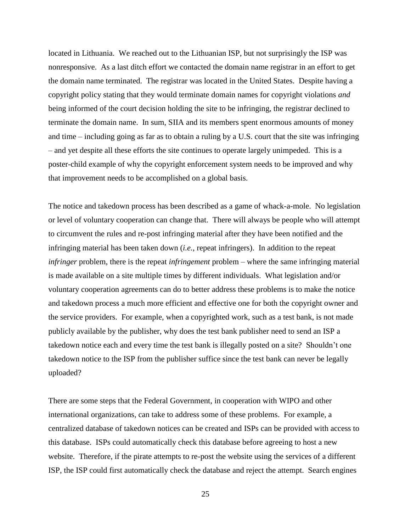located in Lithuania. We reached out to the Lithuanian ISP, but not surprisingly the ISP was nonresponsive. As a last ditch effort we contacted the domain name registrar in an effort to get the domain name terminated. The registrar was located in the United States. Despite having a copyright policy stating that they would terminate domain names for copyright violations *and* being informed of the court decision holding the site to be infringing, the registrar declined to terminate the domain name. In sum, SIIA and its members spent enormous amounts of money and time – including going as far as to obtain a ruling by a U.S. court that the site was infringing – and yet despite all these efforts the site continues to operate largely unimpeded. This is a poster-child example of why the copyright enforcement system needs to be improved and why that improvement needs to be accomplished on a global basis.

The notice and takedown process has been described as a game of whack-a-mole. No legislation or level of voluntary cooperation can change that. There will always be people who will attempt to circumvent the rules and re-post infringing material after they have been notified and the infringing material has been taken down (*i.e.*, repeat infringers). In addition to the repeat *infringer* problem, there is the repeat *infringement* problem – where the same infringing material is made available on a site multiple times by different individuals. What legislation and/or voluntary cooperation agreements can do to better address these problems is to make the notice and takedown process a much more efficient and effective one for both the copyright owner and the service providers. For example, when a copyrighted work, such as a test bank, is not made publicly available by the publisher, why does the test bank publisher need to send an ISP a takedown notice each and every time the test bank is illegally posted on a site? Shouldn't one takedown notice to the ISP from the publisher suffice since the test bank can never be legally uploaded?

There are some steps that the Federal Government, in cooperation with WIPO and other international organizations, can take to address some of these problems. For example, a centralized database of takedown notices can be created and ISPs can be provided with access to this database. ISPs could automatically check this database before agreeing to host a new website. Therefore, if the pirate attempts to re-post the website using the services of a different ISP, the ISP could first automatically check the database and reject the attempt. Search engines

25